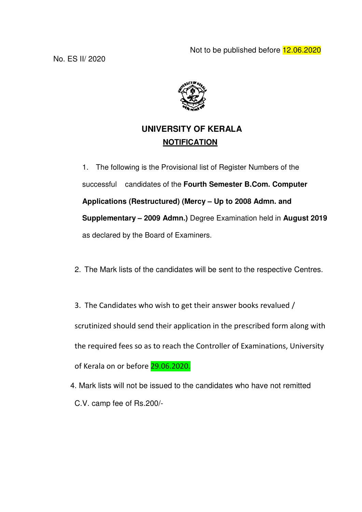

# **UNIVERSITY OF KERALA NOTIFICATION**

1. The following is the Provisional list of Register Numbers of the successful candidates of the **Fourth Semester B.Com. Computer Applications (Restructured) (Mercy – Up to 2008 Admn. and Supplementary – 2009 Admn.)** Degree Examination held in **August 2019** as declared by the Board of Examiners.

- 2. The Mark lists of the candidates will be sent to the respective Centres.
- 3. The Candidates who wish to get their answer books revalued / scrutinized should send their application in the prescribed form along with the required fees so as to reach the Controller of Examinations, University of Kerala on or before 29.06.2020.
- 4. Mark lists will not be issued to the candidates who have not remitted C.V. camp fee of Rs.200/-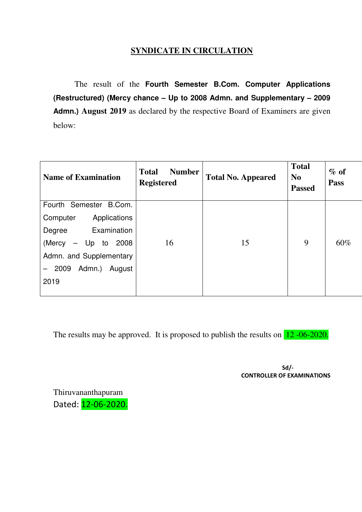## **SYNDICATE IN CIRCULATION**

 The result of the **Fourth Semester B.Com. Computer Applications (Restructured) (Mercy chance – Up to 2008 Admn. and Supplementary – 2009 Admn.) August 2019** as declared by the respective Board of Examiners are given below:

| <b>Name of Examination</b> | <b>Total</b><br><b>Number</b><br><b>Registered</b> | <b>Total No. Appeared</b> | <b>Total</b><br>N <sub>0</sub><br><b>Passed</b> | $\%$ of<br><b>Pass</b> |
|----------------------------|----------------------------------------------------|---------------------------|-------------------------------------------------|------------------------|
| Fourth Semester B.Com.     |                                                    |                           |                                                 |                        |
| Computer<br>Applications   |                                                    |                           |                                                 |                        |
| Examination<br>Degree      |                                                    |                           |                                                 |                        |
| (Mercy<br>$-$ Up to 2008   | 16                                                 | 15                        | 9                                               | 60%                    |
| Admn. and Supplementary    |                                                    |                           |                                                 |                        |
| Admn.)<br>2009<br>August   |                                                    |                           |                                                 |                        |
| 2019                       |                                                    |                           |                                                 |                        |
|                            |                                                    |                           |                                                 |                        |

The results may be approved. It is proposed to publish the results on 12 -06-2020.

Sd/- CONTROLLER OF EXAMINATIONS

Thiruvananthapuram Dated: 12-06-2020.